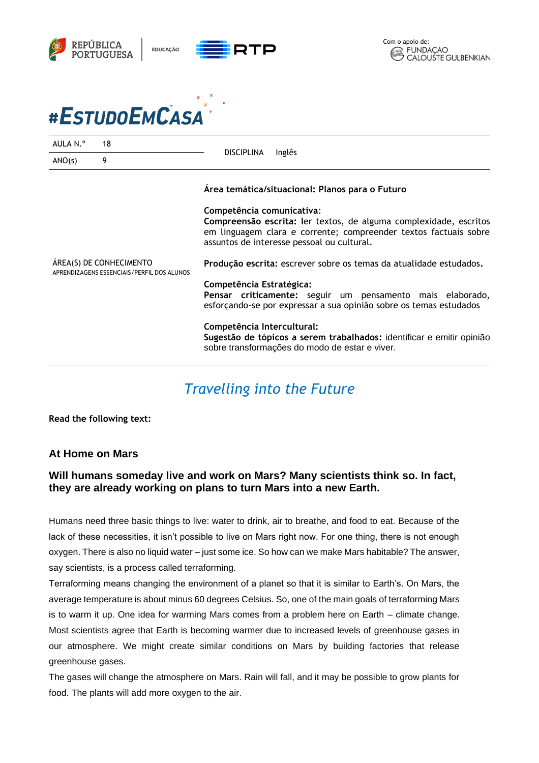



| AULA N.º                                                              | 18 | <b>DISCIPLINA</b><br>Inglês                                                                                                                                                                                                                                         |
|-----------------------------------------------------------------------|----|---------------------------------------------------------------------------------------------------------------------------------------------------------------------------------------------------------------------------------------------------------------------|
| ANO(s)                                                                | 9  |                                                                                                                                                                                                                                                                     |
| ÁREA(S) DE CONHECIMENTO<br>APRENDIZAGENS ESSENCIAIS/PERFIL DOS ALUNOS |    | Área temática/situacional: Planos para o Futuro<br>Competência comunicativa:<br>Compreensão escrita: ler textos, de alguma complexidade, escritos<br>em linguagem clara e corrente; compreender textos factuais sobre<br>assuntos de interesse pessoal ou cultural. |
|                                                                       |    | Produção escrita: escrever sobre os temas da atualidade estudados.<br>Competência Estratégica:<br>Pensar criticamente: seguir um pensamento mais elaborado,<br>esforçando-se por expressar a sua opinião sobre os temas estudados                                   |
|                                                                       |    | Competência Intercultural:<br>Sugestão de tópicos a serem trabalhados: identificar e emitir opinião<br>sobre transformações do modo de estar e viver.                                                                                                               |

## *Travelling into the Future*

**Read the following text:** 

## **At Home on Mars**

## **Will humans someday live and work on Mars? Many scientists think so. In fact, they are already working on plans to turn Mars into a new Earth.**

Humans need three basic things to live: water to drink, air to breathe, and food to eat. Because of the lack of these necessities, it isn't possible to live on Mars right now. For one thing, there is not enough oxygen. There is also no liquid water – just some ice. So how can we make Mars habitable? The answer, say scientists, is a process called terraforming.

Terraforming means changing the environment of a planet so that it is similar to Earth's. On Mars, the average temperature is about minus 60 degrees Celsius. So, one of the main goals of terraforming Mars is to warm it up. One idea for warming Mars comes from a problem here on Earth – climate change. Most scientists agree that Earth is becoming warmer due to increased levels of greenhouse gases in our atmosphere. We might create similar conditions on Mars by building factories that release greenhouse gases.

The gases will change the atmosphere on Mars. Rain will fall, and it may be possible to grow plants for food. The plants will add more oxygen to the air.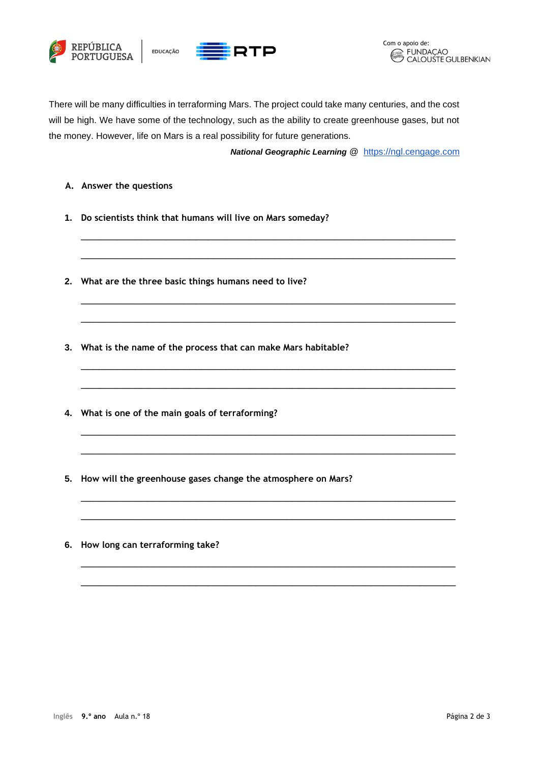



There will be many difficulties in terraforming Mars. The project could take many centuries, and the cost will be high. We have some of the technology, such as the ability to create greenhouse gases, but not the money. However, life on Mars is a real possibility for future generations.

\_\_\_\_\_\_\_\_\_\_\_\_\_\_\_\_\_\_\_\_\_\_\_\_\_\_\_\_\_\_\_\_\_\_\_\_\_\_\_\_\_\_\_\_\_\_\_\_\_\_\_\_\_\_\_\_\_\_\_\_\_\_

\_\_\_\_\_\_\_\_\_\_\_\_\_\_\_\_\_\_\_\_\_\_\_\_\_\_\_\_\_\_\_\_\_\_\_\_\_\_\_\_\_\_\_\_\_\_\_\_\_\_\_\_\_\_\_\_\_\_\_\_\_\_

\_\_\_\_\_\_\_\_\_\_\_\_\_\_\_\_\_\_\_\_\_\_\_\_\_\_\_\_\_\_\_\_\_\_\_\_\_\_\_\_\_\_\_\_\_\_\_\_\_\_\_\_\_\_\_\_\_\_\_\_\_\_

\_\_\_\_\_\_\_\_\_\_\_\_\_\_\_\_\_\_\_\_\_\_\_\_\_\_\_\_\_\_\_\_\_\_\_\_\_\_\_\_\_\_\_\_\_\_\_\_\_\_\_\_\_\_\_\_\_\_\_\_\_\_

\_\_\_\_\_\_\_\_\_\_\_\_\_\_\_\_\_\_\_\_\_\_\_\_\_\_\_\_\_\_\_\_\_\_\_\_\_\_\_\_\_\_\_\_\_\_\_\_\_\_\_\_\_\_\_\_\_\_\_\_\_\_

\_\_\_\_\_\_\_\_\_\_\_\_\_\_\_\_\_\_\_\_\_\_\_\_\_\_\_\_\_\_\_\_\_\_\_\_\_\_\_\_\_\_\_\_\_\_\_\_\_\_\_\_\_\_\_\_\_\_\_\_\_\_

\_\_\_\_\_\_\_\_\_\_\_\_\_\_\_\_\_\_\_\_\_\_\_\_\_\_\_\_\_\_\_\_\_\_\_\_\_\_\_\_\_\_\_\_\_\_\_\_\_\_\_\_\_\_\_\_\_\_\_\_\_\_

\_\_\_\_\_\_\_\_\_\_\_\_\_\_\_\_\_\_\_\_\_\_\_\_\_\_\_\_\_\_\_\_\_\_\_\_\_\_\_\_\_\_\_\_\_\_\_\_\_\_\_\_\_\_\_\_\_\_\_\_\_\_

\_\_\_\_\_\_\_\_\_\_\_\_\_\_\_\_\_\_\_\_\_\_\_\_\_\_\_\_\_\_\_\_\_\_\_\_\_\_\_\_\_\_\_\_\_\_\_\_\_\_\_\_\_\_\_\_\_\_\_\_\_\_

\_\_\_\_\_\_\_\_\_\_\_\_\_\_\_\_\_\_\_\_\_\_\_\_\_\_\_\_\_\_\_\_\_\_\_\_\_\_\_\_\_\_\_\_\_\_\_\_\_\_\_\_\_\_\_\_\_\_\_\_\_\_

\_\_\_\_\_\_\_\_\_\_\_\_\_\_\_\_\_\_\_\_\_\_\_\_\_\_\_\_\_\_\_\_\_\_\_\_\_\_\_\_\_\_\_\_\_\_\_\_\_\_\_\_\_\_\_\_\_\_\_\_\_\_

\_\_\_\_\_\_\_\_\_\_\_\_\_\_\_\_\_\_\_\_\_\_\_\_\_\_\_\_\_\_\_\_\_\_\_\_\_\_\_\_\_\_\_\_\_\_\_\_\_\_\_\_\_\_\_\_\_\_\_\_\_\_

*National Geographic Learning* @ [https://ngl.cengage.com](https://ngl.cengage.com/assets/downloads/pathways_pro0000000046/pathwaysrw_1_unit6.pdf?fbclid=IwAR33udC50U5gd0z20MVriGWBI5hb-3q9vXcb_xVA3S4bsdZS0zbj5Lp3XaA)

- **A. Answer the questions**
- **1. Do scientists think that humans will live on Mars someday?**
- **2. What are the three basic things humans need to live?**
- **3. What is the name of the process that can make Mars habitable?**
- **4. What is one of the main goals of terraforming?**
- **5. How will the greenhouse gases change the atmosphere on Mars?**
- **6. How long can terraforming take?**